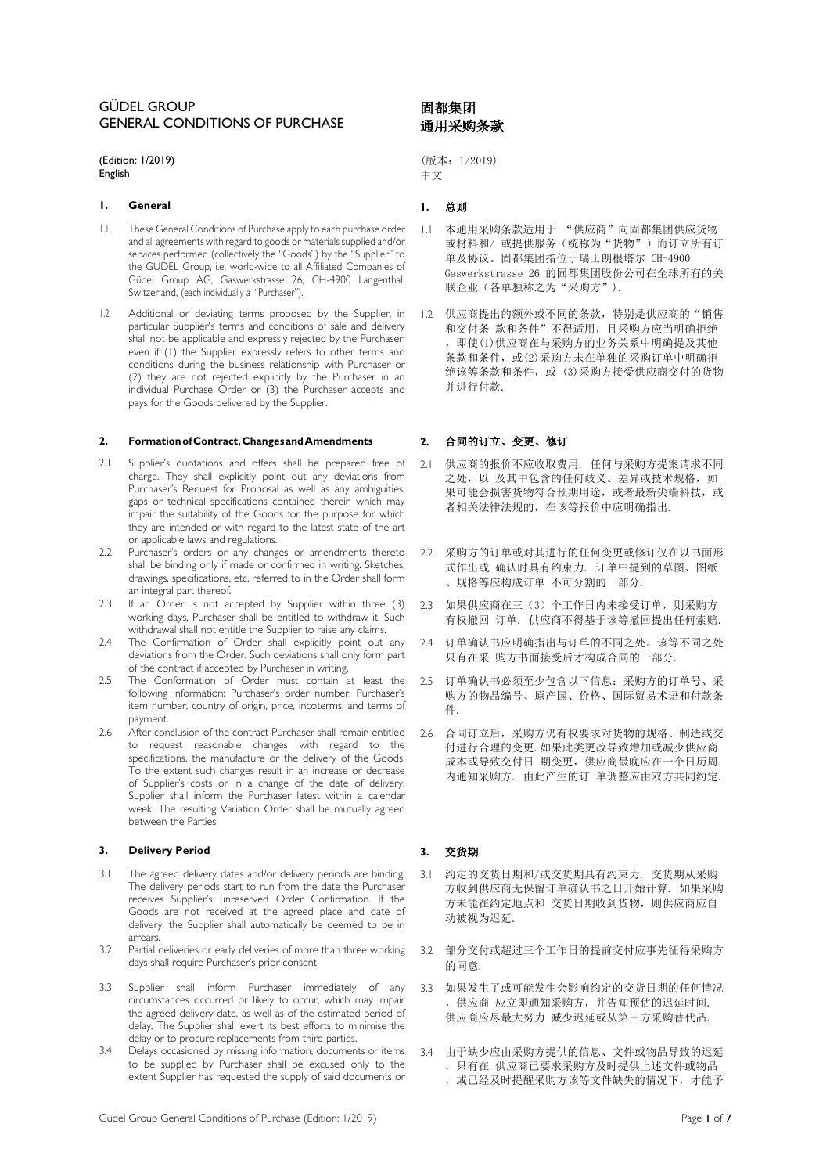# GÜDEL GROUP GENERAL CONDITIONS OF PURCHASE

(Edition: 1/2019) English

# **1. General 1.** 总则

- 1.1. These General Conditions of Purchase apply to each purchase order and all agreements with regard to goods or materials supplied and/or services performed (collectively the "Goods") by the "Supplier" to the GÜDEL Group, i.e. world-wide to all Affiliated Companies of Güdel Group AG, Gaswerkstrasse 26, CH-4900 Langenthal, Switzerland, (each individually a "Purchaser").
- 1.2. Additional or deviating terms proposed by the Supplier, in particular Supplier's terms and conditions of sale and delivery shall not be applicable and expressly rejected by the Purchaser, even if (1) the Supplier expressly refers to other terms and conditions during the business relationship with Purchaser or (2) they are not rejected explicitly by the Purchaser in an individual Purchase Order or (3) the Purchaser accepts and pays for the Goods delivered by the Supplier.

## **2. FormationofContract,ChangesandAmendments 2.** 合同的订立、变更、修订

- 2.1 Supplier's quotations and offers shall be prepared free of charge. They shall explicitly point out any deviations from Purchaser's Request for Proposal as well as any ambiguities, gaps or technical specifications contained therein which may impair the suitability of the Goods for the purpose for which they are intended or with regard to the latest state of the art or applicable laws and regulations.
- 2.2 Purchaser's orders or any changes or amendments thereto shall be binding only if made or confirmed in writing. Sketches, drawings, specifications, etc. referred to in the Order shall form an integral part thereof.
- 2.3 If an Order is not accepted by Supplier within three (3) working days, Purchaser shall be entitled to withdraw it. Such withdrawal shall not entitle the Supplier to raise any claims.
- 2.4 The Confirmation of Order shall explicitly point out any deviations from the Order. Such deviations shall only form part of the contract if accepted by Purchaser in writing.
- 2.5 The Conformation of Order must contain at least the following information: Purchaser's order number, Purchaser's item number, country of origin, price, incoterms, and terms of payment.
- 2.6 After conclusion of the contract Purchaser shall remain entitled to request reasonable changes with regard to the specifications, the manufacture or the delivery of the Goods. To the extent such changes result in an increase or decrease of Supplier's costs or in a change of the date of delivery, Supplier shall inform the Purchaser latest within a calendar week. The resulting Variation Order shall be mutually agreed between the Parties

# **3. Delivery Period 3.** 交货期

- 3.1 The agreed delivery dates and/or delivery periods are binding. The delivery periods start to run from the date the Purchaser receives Supplier's unreserved Order Confirmation. If the Goods are not received at the agreed place and date of delivery, the Supplier shall automatically be deemed to be in arrears.
- 3.2 Partial deliveries or early deliveries of more than three working days shall require Purchaser's prior consent.
- 3.3 Supplier shall inform Purchaser immediately of any circumstances occurred or likely to occur, which may impair the agreed delivery date, as well as of the estimated period of delay. The Supplier shall exert its best efforts to minimise the delay or to procure replacements from third parties.
- 3.4 Delays occasioned by missing information, documents or items to be supplied by Purchaser shall be excused only to the extent Supplier has requested the supply of said documents or

# 固都集团 通用采购条款

(版本:1/2019) 中文

- 1.1 本通用采购条款适用于 "供应商"向固都集团供应货物 或材料和/ 或提供服务(统称为"货物")而订立所有订 单及协议。固都集团指位于瑞士朗根塔尔 CH-4900 Gaswerkstrasse 26 的固都集团股份公司在全球所有的关 联企业(各单独称之为"采购方").
- 1.2 供应商提出的额外或不同的条款,特别是供应商的"销售 和交付条 款和条件"不得适用,且采购方应当明确拒绝 ,即使(1)供应商在与采购方的业务关系中明确提及其他 条款和条件,或(2)采购方未在单独的采购订单中明确拒 绝该等条款和条件,或 (3)采购方接受供应商交付的货物 并进行付款.

- 2.1 供应商的报价不应收取费用. 任何与采购方提案请求不同 之处, 以 及其中包含的任何歧义、差异或技术规格, 如 果可能会损害货物符合预期用途, 或者最新尖端科技, 或 者相关法律法规的,在该等报价中应明确指出.
- 2.2 采购方的订单或对其进行的任何变更或修订仅在以书面形 式作出或 确认时具有约束力. 订单中提到的草图、图纸 、规格等应构成订单 不可分割的一部分.
- 2.3 如果供应商在三(3)个工作日内未接受订单,则采购方 有权撤回 订单. 供应商不得基于该等撤回提出任何索赔.
- 2.4 订单确认书应明确指出与订单的不同之处。该等不同之处 只有在采 购方书面接受后才构成合同的一部分.
- 2.5 订单确认书必须至少包含以下信息:采购方的订单号、采 购方的物品编号、原产国、价格、国际贸易术语和付款条 件.
- 2.6 合同订立后,采购方仍有权要求对货物的规格、制造或交 付进行合理的变更.如果此类更改导致增加或减少供应商 成本或导致交付日 期变更,供应商最晚应在一个日历周 内通知采购方. 由此产生的订 单调整应由双方共同约定.

- 3.1 约定的交货日期和/或交货期具有约束力. 交货期从采购 方收到供应商无保留订单确认书之日开始计算. 如果采购 方未能在约定地点和 交货日期收到货物,则供应商应自 动被视为迟延.
- 3.2 部分交付或超过三个工作日的提前交付应事先征得采购方 的同意.
- 3.3 如果发生了或可能发生会影响约定的交货日期的任何情况 ,供应商 应立即通知采购方,并告知预估的迟延时间. 供应商应尽最大努力 减少迟延或从第三方采购替代品.
- 3.4 由于缺少应由采购方提供的信息、文件或物品导致的迟延 ,只有在 供应商已要求采购方及时提供上述文件或物品
	- ,或已经及时提醒采购方该等文件缺失的情况下,才能予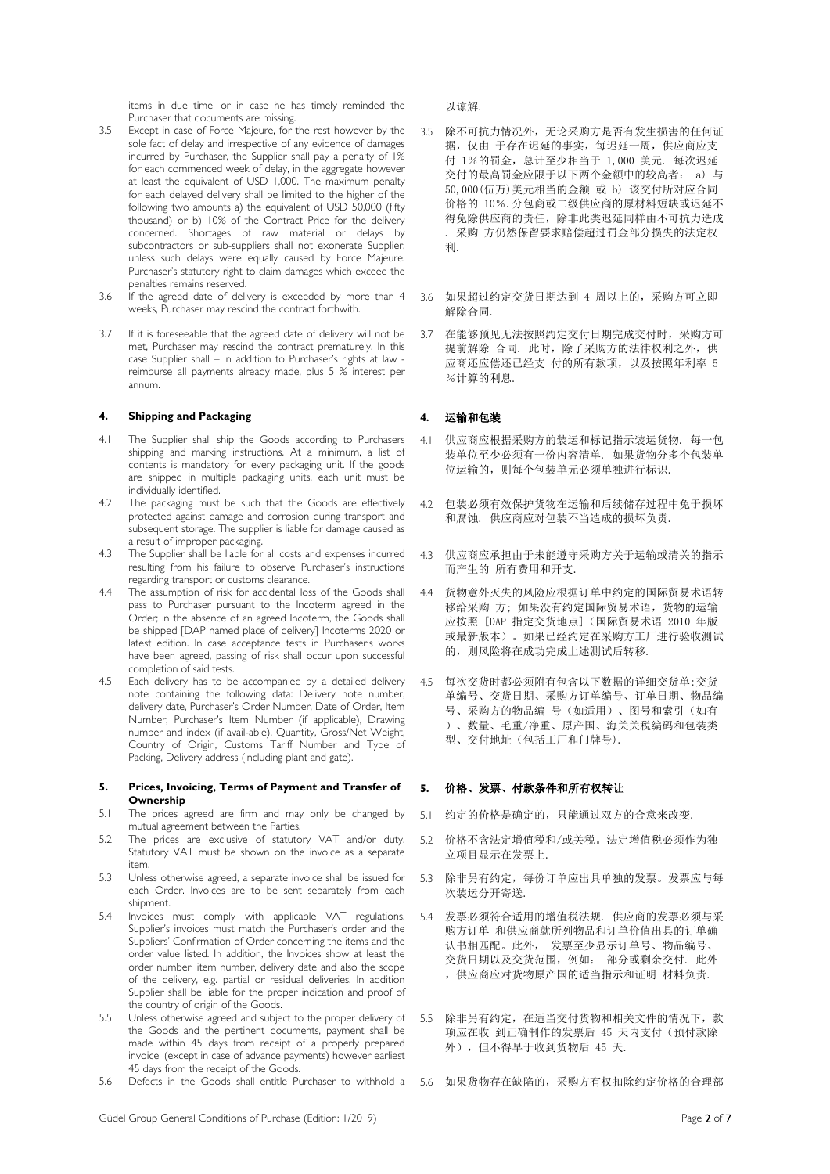items in due time, or in case he has timely reminded the Purchaser that documents are missing.

- 3.5 Except in case of Force Majeure, for the rest however by the sole fact of delay and irrespective of any evidence of damages incurred by Purchaser, the Supplier shall pay a penalty of 1% for each commenced week of delay, in the aggregate however at least the equivalent of USD 1,000. The maximum penalty for each delayed delivery shall be limited to the higher of the following two amounts a) the equivalent of USD 50,000 (fifty thousand) or b) 10% of the Contract Price for the delivery concerned. Shortages of raw material or delays by subcontractors or sub-suppliers shall not exonerate Supplier, unless such delays were equally caused by Force Majeure. Purchaser's statutory right to claim damages which exceed the penalties remains reserved.
- 3.6 If the agreed date of delivery is exceeded by more than 4 weeks, Purchaser may rescind the contract forthwith.
- 3.7 If it is foreseeable that the agreed date of delivery will not be met, Purchaser may rescind the contract prematurely. In this case Supplier shall – in addition to Purchaser's rights at law reimburse all payments already made, plus 5 % interest per annum.

### **4. Shipping and Packaging 4.** 运输和包装

- 4.1 The Supplier shall ship the Goods according to Purchasers shipping and marking instructions. At a minimum, a list of contents is mandatory for every packaging unit. If the goods are shipped in multiple packaging units, each unit must be individually identified.
- 4.2 The packaging must be such that the Goods are effectively protected against damage and corrosion during transport and subsequent storage. The supplier is liable for damage caused as a result of improper packaging.
- 4.3 The Supplier shall be liable for all costs and expenses incurred resulting from his failure to observe Purchaser's instructions regarding transport or customs clearance.
- 4.4 The assumption of risk for accidental loss of the Goods shall pass to Purchaser pursuant to the Incoterm agreed in the Order; in the absence of an agreed Incoterm, the Goods shall be shipped [DAP named place of delivery] Incoterms 2020 or latest edition. In case acceptance tests in Purchaser's works have been agreed, passing of risk shall occur upon successful completion of said tests.
- 4.5 Each delivery has to be accompanied by a detailed delivery note containing the following data: Delivery note number, delivery date, Purchaser's Order Number, Date of Order, Item Number, Purchaser's Item Number (if applicable), Drawing number and index (if avail-able), Quantity, Gross/Net Weight, Country of Origin, Customs Tariff Number and Type of Packing, Delivery address (including plant and gate).

### **5. Prices, Invoicing, Terms of Payment and Transfer of Ownership**

- 5.1 The prices agreed are firm and may only be changed by mutual agreement between the Parties.
- 5.2 The prices are exclusive of statutory VAT and/or duty. Statutory VAT must be shown on the invoice as a separate item.
- 5.3 Unless otherwise agreed, a separate invoice shall be issued for each Order. Invoices are to be sent separately from each shipment.
- 5.4 Invoices must comply with applicable VAT regulations. Supplier's invoices must match the Purchaser's order and the Suppliers' Confirmation of Order concerning the items and the order value listed. In addition, the Invoices show at least the order number, item number, delivery date and also the scope of the delivery, e.g. partial or residual deliveries. In addition Supplier shall be liable for the proper indication and proof of the country of origin of the Goods.
- 5.5 Unless otherwise agreed and subject to the proper delivery of the Goods and the pertinent documents, payment shall be made within 45 days from receipt of a properly prepared invoice, (except in case of advance payments) however earliest 45 days from the receipt of the Goods.
- 

以谅解.

- 3.5 除不可抗力情况外,无论采购方是否有发生损害的任何证 据,仅由 于存在迟延的事实,每迟延一周,供应商应支 付 1%的罚金,总计至少相当于 1,000 美元. 每次迟延 交付的最高罚金应限于以下两个金额中的较高者: a) 与 50,000(伍万)美元相当的金额 或 b) 该交付所对应合同 价格的 10%.分包商或二级供应商的原材料短缺或迟延不 得免除供应商的责任,除非此类迟延同样由不可抗力造成 . 采购 方仍然保留要求赔偿超过罚金部分损失的法定权 利.
- 3.6 如果超过约定交货日期达到 4 周以上的,采购方可立即 解除合同.
- 3.7 在能够预见无法按照约定交付日期完成交付时,采购方可 提前解除 合同. 此时,除了采购方的法律权利之外,供 应商还应偿还已经支 付的所有款项,以及按照年利率 5 %计算的利息.

- 4.1 供应商应根据采购方的装运和标记指示装运货物. 每一包 装单位至少必须有一份内容清单. 如果货物分多个包装单 位运输的,则每个包装单元必须单独进行标识.
- 4.2 包装必须有效保护货物在运输和后续储存过程中免于损坏 和腐蚀. 供应商应对包装不当造成的损坏负责.
- 4.3 供应商应承担由于未能遵守采购方关于运输或清关的指示 而产生的 所有费用和开支.
- 4.4 货物意外灭失的风险应根据订单中约定的国际贸易术语转 移给采购 方; 如果没有约定国际贸易术语,货物的运输 应按照 [DAP 指定交货地点](国际贸易术语 2010 年版 或最新版本)。如果已经约定在采购方工厂进行验收测试 的,则风险将在成功完成上述测试后转移.
- 45 每次交货时都必须附有包含以下数据的详细交货单:交货 单编号、交货日期、采购方订单编号、订单日期、物品编 号、采购方的物品编 号(如适用)、图号和索引(如有 )、数量、毛重/净重、原产国、海关关税编码和包装类 型、交付地址(包括工厂和门牌号).

### **5.** 价格、发票、付款条件和所有权转让

- 5.1 约定的价格是确定的,只能通过双方的合意来改变.
- 5.2 价格不含法定增值税和/或关税。法定增值税必须作为独 立项目显示在发票上.
- 5.3 除非另有约定,每份订单应出具单独的发票。发票应与每 次装运分开寄送.
- 5.4 发票必须符合适用的增值税法规. 供应商的发票必须与采 购方订单 和供应商就所列物品和订单价值出具的订单确 认书相匹配。此外, 发票至少显示订单号、物品编号、 交货日期以及交货范围,例如: 部分或剩余交付. 此外 ,供应商应对货物原产国的适当指示和证明 材料负责.
- 5.5 除非另有约定,在适当交付货物和相关文件的情况下,款 项应在收 到正确制作的发票后 45 天内支付(预付款除 外),但不得早于收到货物后 45 天.
- 5.6 Defects in the Goods shall entitle Purchaser to withhold a 5.6 如果货物存在缺陷的,采购方有权扣除约定价格的合理部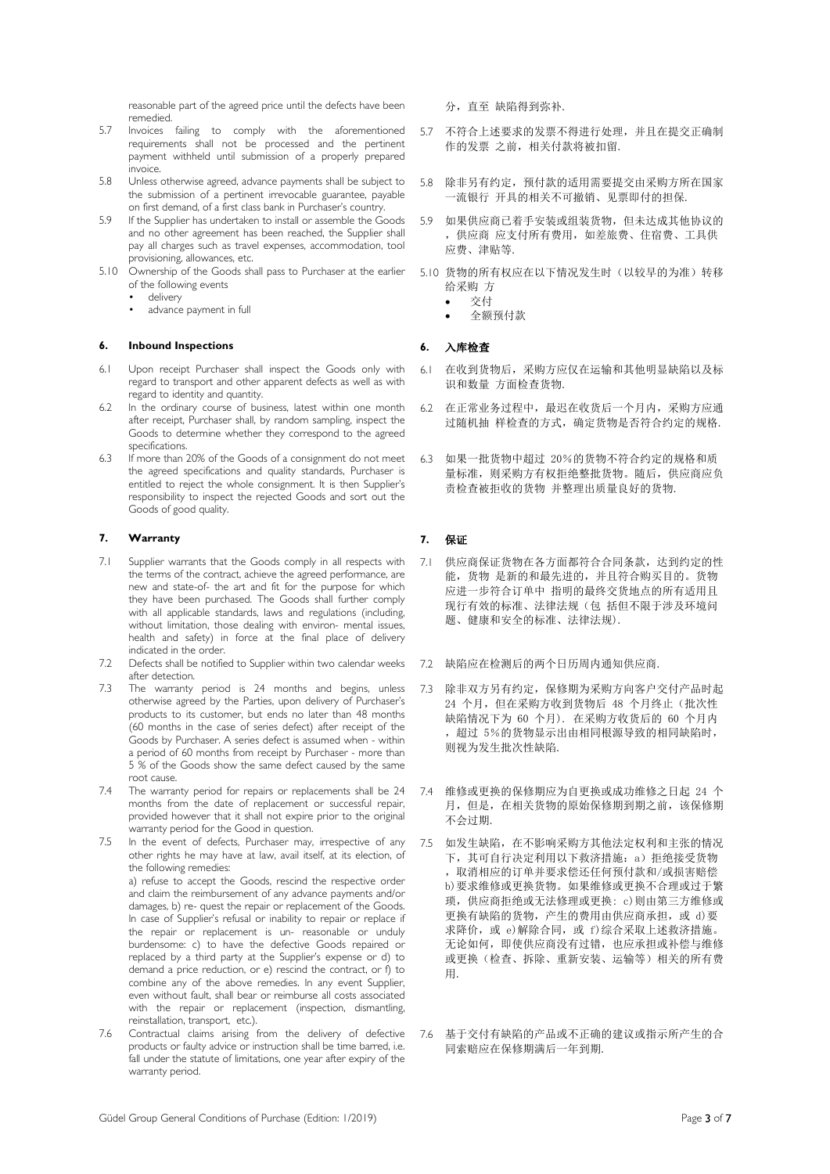reasonable part of the agreed price until the defects have been remedied.

- 5.7 Invoices failing to comply with the aforementioned requirements shall not be processed and the pertinent payment withheld until submission of a properly prepared invoice.
- 5.8 Unless otherwise agreed, advance payments shall be subject to the submission of a pertinent irrevocable guarantee, payable on first demand, of a first class bank in Purchaser's country.
- 5.9 If the Supplier has undertaken to install or assemble the Goods and no other agreement has been reached, the Supplier shall pay all charges such as travel expenses, accommodation, tool provisioning, allowances, etc.
- 5.10 Ownership of the Goods shall pass to Purchaser at the earlier of the following events
	- delivery
	- advance payment in full

### **6. Inbound Inspections 6.** 入库检查

- 6.1 Upon receipt Purchaser shall inspect the Goods only with regard to transport and other apparent defects as well as with regard to identity and quantity.
- 6.2 In the ordinary course of business, latest within one month after receipt, Purchaser shall, by random sampling, inspect the Goods to determine whether they correspond to the agreed specifications.
- 6.3 If more than 20% of the Goods of a consignment do not meet the agreed specifications and quality standards, Purchaser is entitled to reject the whole consignment. It is then Supplier's responsibility to inspect the rejected Goods and sort out the Goods of good quality.

## **7. Warranty 7.** 保证

- 7.1 Supplier warrants that the Goods comply in all respects with the terms of the contract, achieve the agreed performance, are new and state-of- the art and fit for the purpose for which they have been purchased. The Goods shall further comply with all applicable standards, laws and regulations (including, without limitation, those dealing with environ- mental issues, health and safety) in force at the final place of delivery indicated in the order.
- 7.2 Defects shall be notified to Supplier within two calendar weeks after detection.
- 7.3 The warranty period is 24 months and begins, unless otherwise agreed by the Parties, upon delivery of Purchaser's products to its customer, but ends no later than 48 months (60 months in the case of series defect) after receipt of the Goods by Purchaser. A series defect is assumed when - within a period of 60 months from receipt by Purchaser - more than 5 % of the Goods show the same defect caused by the same root cause.
- 7.4 The warranty period for repairs or replacements shall be 24 months from the date of replacement or successful repair, provided however that it shall not expire prior to the original warranty period for the Good in question.
- 7.5 In the event of defects, Purchaser may, irrespective of any other rights he may have at law, avail itself, at its election, of the following remedies: a) refuse to accept the Goods, rescind the respective order and claim the reimbursement of any advance payments and/or damages, b) re- quest the repair or replacement of the Goods. In case of Supplier's refusal or inability to repair or replace if the repair or replacement is un- reasonable or unduly burdensome: c) to have the defective Goods repaired or replaced by a third party at the Supplier's expense or d) to demand a price reduction, or e) rescind the contract, or f) to combine any of the above remedies. In any event Supplier, even without fault, shall bear or reimburse all costs associated with the repair or replacement (inspection, dismantling, reinstallation, transport, etc.).
- 7.6 Contractual claims arising from the delivery of defective products or faulty advice or instruction shall be time barred, i.e. fall under the statute of limitations, one year after expiry of the warranty period.

分,直至 缺陷得到弥补.

- 5.7 不符合上述要求的发票不得进行处理,并且在提交正确制 作的发票 之前,相关付款将被扣留.
- 5.8 除非另有约定,预付款的适用需要提交由采购方所在国家 一流银行 开具的相关不可撤销、见票即付的担保.
- 5.9 如果供应商已着手安装或组装货物,但未达成其他协议的 ,供应商 应支付所有费用,如差旅费、住宿费、工具供 应费、津贴等.
- 5.10 货物的所有权应在以下情况发生时(以较早的为准)转移 给采购 方
	- 交付
	- 全额预付款

- 6.1 在收到货物后,采购方应仅在运输和其他明显缺陷以及标 识和数量 方面检查货物.
- 6.2 在正常业务过程中,最迟在收货后一个月内,采购方应通 过随机抽 样检查的方式,确定货物是否符合约定的规格.
- 6.3 如果一批货物中超过 20%的货物不符合约定的规格和质 量标准,则采购方有权拒绝整批货物。随后,供应商应负 责检查被拒收的货物 并整理出质量良好的货物.

- 7.1 供应商保证货物在各方面都符合合同条款,达到约定的性 能,货物 是新的和最先进的,并且符合购买目的。货物 应进一步符合订单中 指明的最终交货地点的所有适用且 现行有效的标准、法律法规(包 括但不限于涉及环境问 题、健康和安全的标准、法律法规).
- 7.2 缺陷应在检测后的两个日历周内通知供应商.
- 7.3 除非双方另有约定,保修期为采购方向客户交付产品时起 24 个月,但在采购方收到货物后 48 个月终止(批次性 缺陷情况下为 60 个月). 在采购方收货后的 60 个月内 ,超过 5%的货物显示出由相同根源导致的相同缺陷时, 则视为发生批次性缺陷.
- 7.4 维修或更换的保修期应为自更换或成功维修之日起 24 个 月,但是,在相关货物的原始保修期到期之前,该保修期 不会过期.
- 7.5 如发生缺陷,在不影响采购方其他法定权利和主张的情况 下,其可自行决定利用以下救济措施:a)拒绝接受货物 ,取消相应的订单并要求偿还任何预付款和/或损害赔偿 b)要求维修或更换货物。如果维修或更换不合理或过于繁 琐,供应商拒绝或无法修理或更换: c)则由第三方维修或 更换有缺陷的货物,产生的费用由供应商承担,或 d)要 求降价,或 e)解除合同,或 f)综合采取上述救济措施。 无论如何,即使供应商没有过错,也应承担或补偿与维修 或更换(检查、拆除、重新安装、运输等)相关的所有费 用.
- 7.6 基于交付有缺陷的产品或不正确的建议或指示所产生的合 同索赔应在保修期满后一年到期.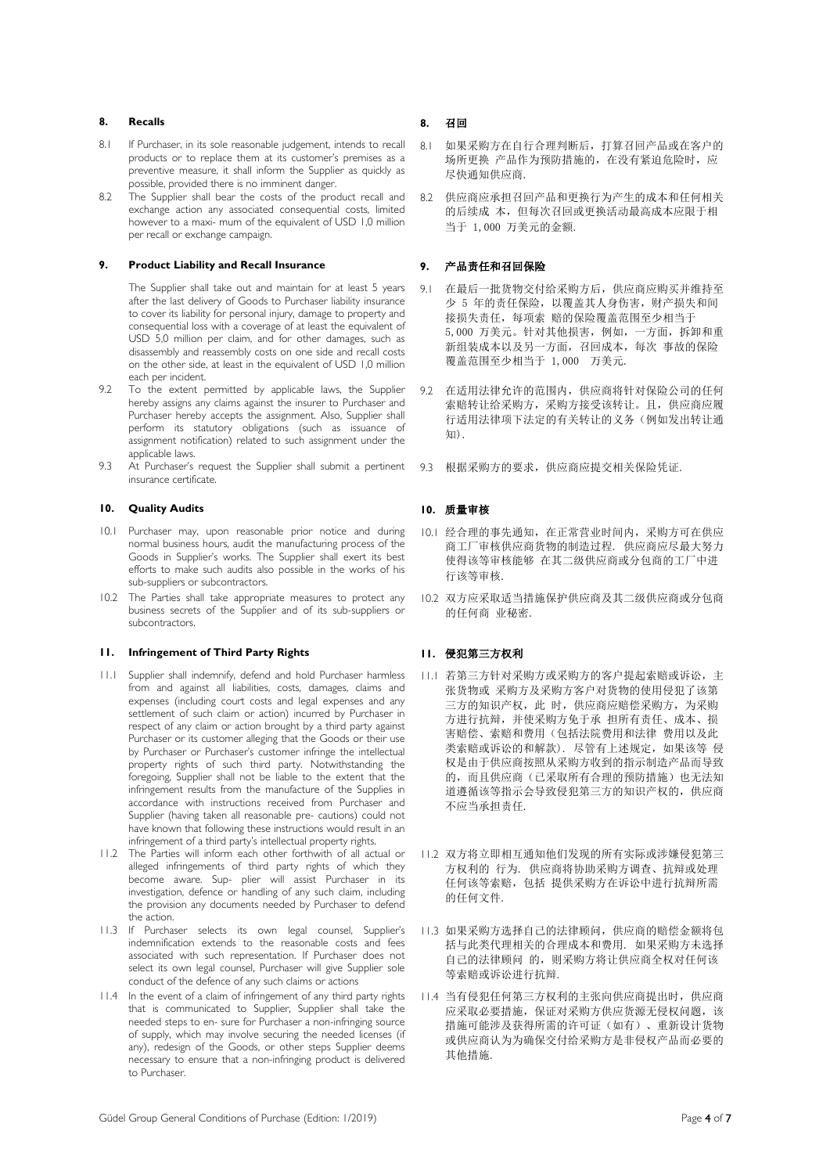# **8. Recalls 8.** 召回

- 8.1 If Purchaser, in its sole reasonable judgement, intends to recall products or to replace them at its customer's premises as a preventive measure, it shall inform the Supplier as quickly as possible, provided there is no imminent danger.
- 8.2 The Supplier shall bear the costs of the product recall and exchange action any associated consequential costs, limited however to a maxi- mum of the equivalent of USD 1,0 million per recall or exchange campaign.

# **9. Product Liability and Recall Insurance 9.** 产品责任和召回保险

The Supplier shall take out and maintain for at least 5 years after the last delivery of Goods to Purchaser liability insurance to cover its liability for personal injury, damage to property and consequential loss with a coverage of at least the equivalent of USD 5,0 million per claim, and for other damages, such as disassembly and reassembly costs on one side and recall costs on the other side, at least in the equivalent of USD 1,0 million each per incident.

- 9.2 To the extent permitted by applicable laws, the Supplier hereby assigns any claims against the insurer to Purchaser and Purchaser hereby accepts the assignment. Also, Supplier shall perform its statutory obligations (such as issuance of assignment notification) related to such assignment under the applicable laws.
- 9.3 At Purchaser's request the Supplier shall submit a pertinent insurance certificate.

### **10. Quality Audits 10.** 质量审核

- 10.1 Purchaser may, upon reasonable prior notice and during normal business hours, audit the manufacturing process of the Goods in Supplier's works. The Supplier shall exert its best efforts to make such audits also possible in the works of his sub-suppliers or subcontractors.
- 10.2 The Parties shall take appropriate measures to protect any business secrets of the Supplier and of its sub-suppliers or subcontractors.

# **11. Infringement of Third Party Rights 11.** 侵犯第三方权利

- 11.1 Supplier shall indemnify, defend and hold Purchaser harmless from and against all liabilities, costs, damages, claims and expenses (including court costs and legal expenses and any settlement of such claim or action) incurred by Purchaser in respect of any claim or action brought by a third party against Purchaser or its customer alleging that the Goods or their use by Purchaser or Purchaser's customer infringe the intellectual property rights of such third party. Notwithstanding the foregoing, Supplier shall not be liable to the extent that the infringement results from the manufacture of the Supplies in accordance with instructions received from Purchaser and Supplier (having taken all reasonable pre- cautions) could not have known that following these instructions would result in an infringement of a third party's intellectual property rights.
- 11.2 The Parties will inform each other forthwith of all actual or alleged infringements of third party rights of which they become aware. Sup- plier will assist Purchaser in its investigation, defence or handling of any such claim, including the provision any documents needed by Purchaser to defend the action.
- 11.3 If Purchaser selects its own legal counsel, Supplier's indemnification extends to the reasonable costs and fees associated with such representation. If Purchaser does not select its own legal counsel, Purchaser will give Supplier sole conduct of the defence of any such claims or actions
- 11.4 In the event of a claim of infringement of any third party rights that is communicated to Supplier, Supplier shall take the needed steps to en- sure for Purchaser a non-infringing source of supply, which may involve securing the needed licenses (if any), redesign of the Goods, or other steps Supplier deems necessary to ensure that a non-infringing product is delivered to Purchaser.

- 8.1 如果采购方在自行合理判断后,打算召回产品或在客户的 场所更换 产品作为预防措施的, 在没有紧迫危险时, 应 尽快通知供应商.
- 8.2 供应商应承担召回产品和更换行为产生的成本和任何相关 的后续成 本,但每次召回或更换活动最高成本应限于相 当于 1,000 万美元的金额.

- 9.1 在最后一批货物交付给采购方后,供应商应购买并维持至 少 5 年的责任保险, 以覆盖其人身伤害, 财产损失和间 接损失责任,每项索 赔的保险覆盖范围至少相当于 5,000 万美元。针对其他损害,例如,一方面,拆卸和重 新组装成本以及另一方面,召回成本,每次 事故的保险 覆盖范围至少相当于 1,000 万美元.
- 9.2 在适用法律允许的范围内,供应商将针对保险公司的任何 索赔转让给采购方,采购方接受该转让。且,供应商应履 行适用法律项下法定的有关转让的义务(例如发出转让通 知).
- 9.3 根据采购方的要求,供应商应提交相关保险凭证.

- 10.1 经合理的事先通知,在正常营业时间内,采购方可在供应 商工厂审核供应商货物的制造过程. 供应商应尽最大努力 使得该等审核能够 在其二级供应商或分包商的工厂中进 行该等审核.
- 10.2 双方应采取适当措施保护供应商及其二级供应商或分包商 的任何商 业秘密.

- 11.1 若第三方针对采购方或采购方的客户提起索赔或诉讼,主 张货物或 采购方及采购方客户对货物的使用侵犯了该第 三方的知识产权,此 时,供应商应赔偿采购方,为采购 方进行抗辩,并使采购方免于承 担所有责任、成本、损 害赔偿、索赔和费用(包括法院费用和法律 费用以及此 类索赔或诉讼的和解款). 尽管有上述规定,如果该等 侵 权是由于供应商按照从采购方收到的指示制造产品而导致 的,而且供应商(已采取所有合理的预防措施)也无法知 道遵循该等指示会导致侵犯第三方的知识产权的,供应商 不应当承担责任.
- 11.2 双方将立即相互通知他们发现的所有实际或涉嫌侵犯第三 方权利的 行为. 供应商将协助采购方调查、抗辩或处理 任何该等索赔,包括 提供采购方在诉讼中进行抗辩所需 的任何文件.
- 11.3 如果采购方选择自己的法律顾问,供应商的赔偿金额将包 括与此类代理相关的合理成本和费用. 如果采购方未选择 自己的法律顾问 的,则采购方将让供应商全权对任何该 等索赔或诉讼进行抗辩.
- 11.4 当有侵犯任何第三方权利的主张向供应商提出时,供应商 应采取必要措施,保证对采购方供应货源无侵权问题,该 措施可能涉及获得所需的许可证(如有)、重新设计货物 或供应商认为为确保交付给采购方是非侵权产品而必要的 其他措施.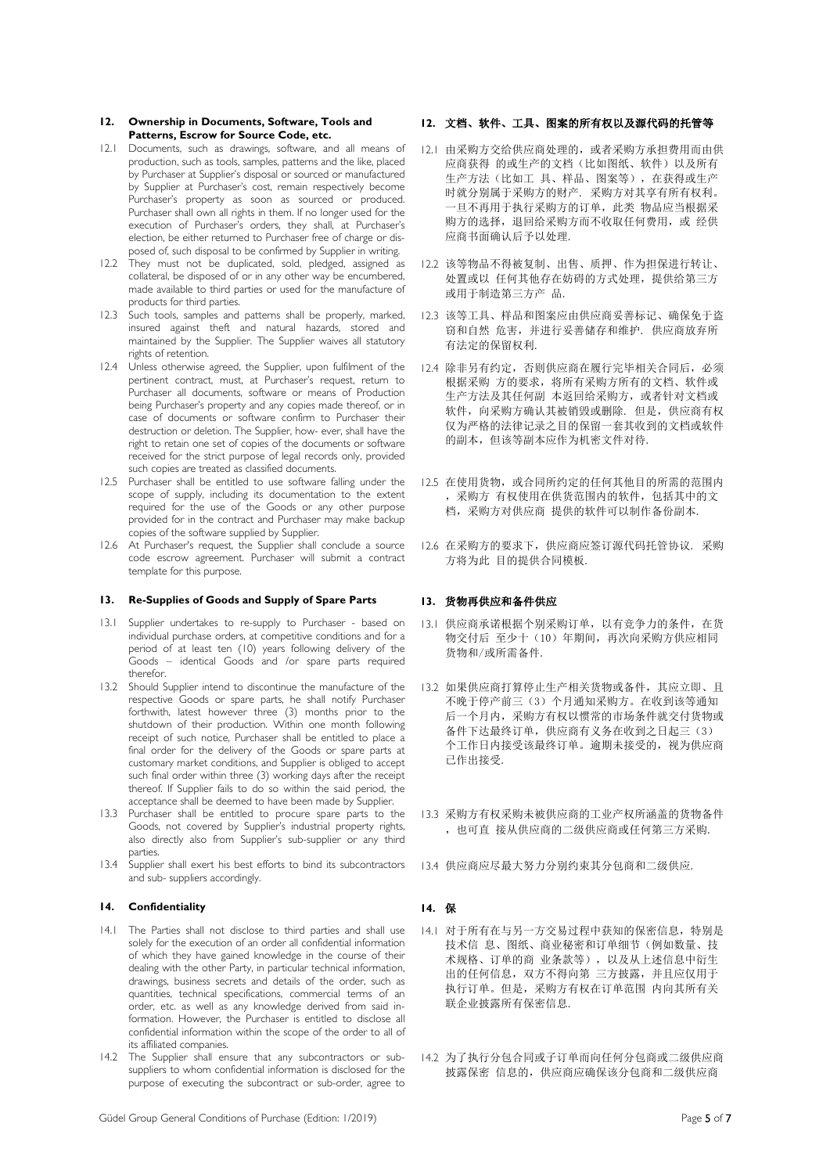### **12. Ownership in Documents, Software, Tools and Patterns, Escrow for Source Code, etc.**

- 12.1 Documents, such as drawings, software, and all means of production, such as tools, samples, patterns and the like, placed by Purchaser at Supplier's disposal or sourced or manufactured by Supplier at Purchaser's cost, remain respectively become Purchaser's property as soon as sourced or produced. Purchaser shall own all rights in them. If no longer used for the execution of Purchaser's orders, they shall, at Purchaser's election, be either returned to Purchaser free of charge or disposed of, such disposal to be confirmed by Supplier in writing.
- 12.2 They must not be duplicated, sold, pledged, assigned as collateral, be disposed of or in any other way be encumbered, made available to third parties or used for the manufacture of products for third parties.
- 12.3 Such tools, samples and patterns shall be properly, marked, insured against theft and natural hazards, stored and maintained by the Supplier. The Supplier waives all statutory rights of retention.
- 12.4 Unless otherwise agreed, the Supplier, upon fulfilment of the pertinent contract, must, at Purchaser's request, return to Purchaser all documents, software or means of Production being Purchaser's property and any copies made thereof, or in case of documents or software confirm to Purchaser their destruction or deletion. The Supplier, how- ever, shall have the right to retain one set of copies of the documents or software received for the strict purpose of legal records only, provided such copies are treated as classified documents.
- 12.5 Purchaser shall be entitled to use software falling under the scope of supply, including its documentation to the extent required for the use of the Goods or any other purpose provided for in the contract and Purchaser may make backup copies of the software supplied by Supplier.
- 12.6 At Purchaser's request, the Supplier shall conclude a source code escrow agreement. Purchaser will submit a contract template for this purpose.

# **13. Re-Supplies of Goods and Supply of Spare Parts 13.** 货物再供应和备件供应

- 13.1 Supplier undertakes to re-supply to Purchaser based on individual purchase orders, at competitive conditions and for a period of at least ten (10) years following delivery of the Goods – identical Goods and /or spare parts required therefor.
- 13.2 Should Supplier intend to discontinue the manufacture of the respective Goods or spare parts, he shall notify Purchaser forthwith, latest however three (3) months prior to the shutdown of their production. Within one month following receipt of such notice, Purchaser shall be entitled to place a final order for the delivery of the Goods or spare parts at customary market conditions, and Supplier is obliged to accept such final order within three (3) working days after the receipt thereof. If Supplier fails to do so within the said period, the acceptance shall be deemed to have been made by Supplier.
- 13.3 Purchaser shall be entitled to procure spare parts to the Goods, not covered by Supplier's industrial property rights, also directly also from Supplier's sub-supplier or any third parties.
- 13.4 Supplier shall exert his best efforts to bind its subcontractors and sub- suppliers accordingly.

## **14. Confidentiality 14.** 保

- 14.1 The Parties shall not disclose to third parties and shall use solely for the execution of an order all confidential information of which they have gained knowledge in the course of their dealing with the other Party, in particular technical information, drawings, business secrets and details of the order, such as quantities, technical specifications, commercial terms of an order, etc. as well as any knowledge derived from said information. However, the Purchaser is entitled to disclose all confidential information within the scope of the order to all of its affiliated companies.
- 14.2 The Supplier shall ensure that any subcontractors or subsuppliers to whom confidential information is disclosed for the purpose of executing the subcontract or sub-order, agree to

## **12.** 文档、软件、工具、图案的所有权以及源代码的托管等

- 12.1 由采购方交给供应商处理的,或者采购方承担费用而由供 应商获得 的或生产的文档(比如图纸、软件)以及所有 生产方法(比如工 具、样品、图案等),在获得或生产 时就分别属于采购方的财产. 采购方对其享有所有权利。 一旦不再用于执行采购方的订单,此类 物品应当根据采 购方的选择,退回给采购方而不收取任何费用,或 经供 应商书面确认后予以处理.
- 12.2 该等物品不得被复制、出售、质押、作为担保进行转让、 处置或以 任何其他存在妨碍的方式处理, 提供给第三方 或用于制造第三方产 品.
- 12.3 该等工具、样品和图案应由供应商妥善标记、确保免于盗 窃和自然 危害,并进行妥善储存和维护. 供应商放弃所 有法定的保留权利.
- 12.4 除非另有约定,否则供应商在履行完毕相关合同后,必须 根据采购 方的要求,将所有采购方所有的文档、软件或 生产方法及其任何副 本返回给采购方,或者针对文档或 软件,向采购方确认其被销毁或删除. 但是,供应商有权 仅为严格的法律记录之目的保留一套其收到的文档或软件 的副本,但该等副本应作为机密文件对待.
- 12.5 在使用货物,或合同所约定的任何其他目的所需的范围内 ,采购方 有权使用在供货范围内的软件,包括其中的文 档,采购方对供应商 提供的软件可以制作备份副本.
- 12.6 在采购方的要求下,供应商应签订源代码托管协议. 采购 方将为此 目的提供合同模板.

- 13.1 供应商承诺根据个别采购订单, 以有竞争力的条件, 在货 物交付后 至少十(10)年期间,再次向采购方供应相同 货物和/或所需备件.
- 13.2 如果供应商打算停止生产相关货物或备件,其应立即、且 不晚于停产前三(3)个月通知采购方。在收到该等通知 后一个月内,采购方有权以惯常的市场条件就交付货物或 备件下达最终订单,供应商有义务在收到之日起三(3) 个工作日内接受该最终订单。逾期未接受的,视为供应商 已作出接受.
- 13.3 采购方有权采购未被供应商的工业产权所涵盖的货物备件 ,也可直 接从供应商的二级供应商或任何第三方采购.
- 13.4 供应商应尽最大努力分别约束其分包商和二级供应.

- 14.1 对于所有在与另一方交易过程中获知的保密信息,特别是 技术信 息、图纸、商业秘密和订单细节(例如数量、技 术规格、订单的商 业条款等),以及从上述信息中衍生 出的任何信息,双方不得向第 三方披露,并且应仅用于 执行订单。但是,采购方有权在订单范围 内向其所有关 联企业披露所有保密信息.
- 14.2 为了执行分包合同或子订单而向任何分包商或二级供应商 披露保密 信息的,供应商应确保该分包商和二级供应商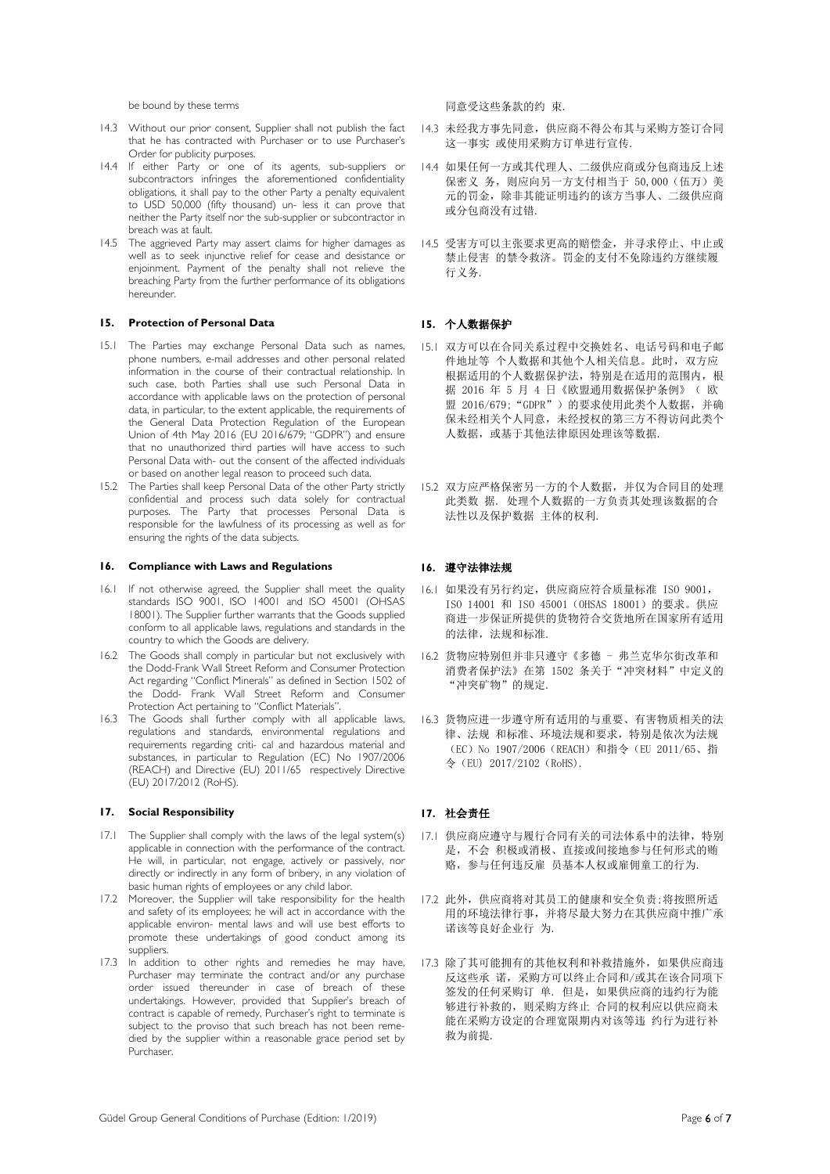be bound by these terms <br>
a produce the control of the product of the product of the bound by these terms are the control of the bound o

- 14.3 Without our prior consent, Supplier shall not publish the fact that he has contracted with Purchaser or to use Purchaser's Order for publicity purposes.
- 14.4 If either Party or one of its agents, sub-suppliers or subcontractors infringes the aforementioned confidentiality obligations, it shall pay to the other Party a penalty equivalent to USD 50,000 (fifty thousand) un- less it can prove that neither the Party itself nor the sub-supplier or subcontractor in breach was at fault.
- 14.5 The aggrieved Party may assert claims for higher damages as well as to seek injunctive relief for cease and desistance or enjoinment. Payment of the penalty shall not relieve the breaching Party from the further performance of its obligations hereunder.

# **15. Protection of Personal Data 15.** 个人数据保护

- 15.1 The Parties may exchange Personal Data such as names, phone numbers, e-mail addresses and other personal related information in the course of their contractual relationship. In such case, both Parties shall use such Personal Data in accordance with applicable laws on the protection of personal data, in particular, to the extent applicable, the requirements of the General Data Protection Regulation of the European Union of 4th May 2016 (EU 2016/679; "GDPR") and ensure that no unauthorized third parties will have access to such Personal Data with- out the consent of the affected individuals or based on another legal reason to proceed such data.
- 15.2 The Parties shall keep Personal Data of the other Party strictly confidential and process such data solely for contractual purposes. The Party that processes Personal Data is responsible for the lawfulness of its processing as well as for ensuring the rights of the data subjects.

### **16. Compliance with Laws and Regulations 16.** 遵守法律法规

- 16.1 If not otherwise agreed, the Supplier shall meet the quality standards ISO 9001, ISO 14001 and ISO 45001 (OHSAS 18001). The Supplier further warrants that the Goods supplied conform to all applicable laws, regulations and standards in the country to which the Goods are delivery.
- 16.2 The Goods shall comply in particular but not exclusively with the Dodd-Frank Wall Street Reform and Consumer Protection Act regarding "Conflict Minerals" as defined in Section 1502 of the Dodd- Frank Wall Street Reform and Consumer Protection Act pertaining to "Conflict Materials".
- 16.3 The Goods shall further comply with all applicable laws, regulations and standards, environmental regulations and requirements regarding criti- cal and hazardous material and substances, in particular to Regulation (EC) No 1907/2006 (REACH) and Directive (EU) 2011/65 respectively Directive (EU) 2017/2012 (RoHS).

### **17. Social Responsibility 17.** 社会责任

- 17.1 The Supplier shall comply with the laws of the legal system(s) applicable in connection with the performance of the contract. He will, in particular, not engage, actively or passively, nor directly or indirectly in any form of bribery, in any violation of basic human rights of employees or any child labor.
- 17.2 Moreover, the Supplier will take responsibility for the health and safety of its employees; he will act in accordance with the applicable environ- mental laws and will use best efforts to promote these undertakings of good conduct among its suppliers.
- 17.3 In addition to other rights and remedies he may have, Purchaser may terminate the contract and/or any purchase order issued thereunder in case of breach of these undertakings. However, provided that Supplier's breach of contract is capable of remedy, Purchaser's right to terminate is subject to the proviso that such breach has not been remedied by the supplier within a reasonable grace period set by Purchaser.

- 14.3 未经我方事先同意,供应商不得公布其与采购方签订合同 这一事实 或使用采购方订单进行宣传.
- 14.4 如果任何一方或其代理人、二级供应商或分包商违反上述 保密义 务,则应向另一方支付相当于 50,000(伍万)美 元的罚金,除非其能证明违约的该方当事人、二级供应商 或分包商没有过错.
- 14.5 受害方可以主张要求更高的赔偿金,并寻求停止、中止或 禁止侵害 的禁令救济。罚金的支付不免除违约方继续履 行义务.

- 15.1 双方可以在合同关系过程中交换姓名、电话号码和电子邮 件地址等 个人数据和其他个人相关信息。此时,双方应 根据适用的个人数据保护法,特别是在适用的范围内,根 据 2016 年 5 月 4 日《欧盟通用数据保护条例》( 欧 盟 2016/679; "GDPR")的要求使用此类个人数据, 并确 保未经相关个人同意,未经授权的第三方不得访问此类个 人数据,或基于其他法律原因处理该等数据.
- 15.2 双方应严格保密另一方的个人数据,并仅为合同目的处理 此类数 据. 处理个人数据的一方负责其处理该数据的合 法性以及保护数据 主体的权利.

- 16.1 如果没有另行约定,供应商应符合质量标准 ISO 9001, ISO 14001 和 ISO 45001(OHSAS 18001)的要求。供应 商进一步保证所提供的货物符合交货地所在国家所有适用 的法律,法规和标准.
- 16.2 货物应特别但并非只遵守《多德 弗兰克华尔街改革和 消费者保护法》在第 1502 条关于"冲突材料"中定义的 "冲突矿物"的规定.
- 16.3 货物应进一步遵守所有适用的与重要、有害物质相关的法 律、法规 和标准、环境法规和要求,特别是依次为法规 (EC)No 1907/2006(REACH)和指令(EU 2011/65、指 令(EU) 2017/2102(RoHS).

- 17.1 供应商应遵守与履行合同有关的司法体系中的法律,特别 是,不会 积极或消极、直接或间接地参与任何形式的贿 赂,参与任何违反雇 员基本人权或雇佣童工的行为.
- 17.2 此外,供应商将对其员工的健康和安全负责;将按照所适 用的环境法律行事,并将尽最大努力在其供应商中推广承 诺该等良好企业行 为.
- 17.3 除了其可能拥有的其他权利和补救措施外,如果供应商违 反这些承 诺,采购方可以终止合同和/或其在该合同项下 签发的任何采购订 单. 但是,如果供应商的违约行为能 够进行补救的,则采购方终止 合同的权利应以供应商未 能在采购方设定的合理宽限期内对该等违 约行为进行补 救为前提.